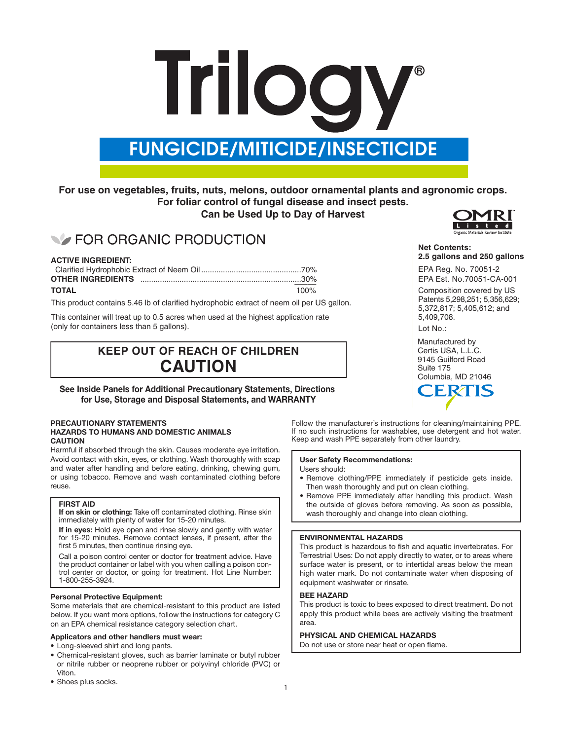# **Trilogy**

# FUNGICIDE/MITICIDE/INSECTICIDE

### **For use on vegetables, fruits, nuts, melons, outdoor ornamental plants and agronomic crops. For foliar control of fungal disease and insect pests.**

#### **Can be Used Up to Day of Harvest**

# **EOR ORGANIC PRODUCTION**

#### **ACTIVE INGREDIENT:**

| <b>TOTAL</b> | 100% |
|--------------|------|

This product contains 5.46 lb of clarified hydrophobic extract of neem oil per US gallon.

This container will treat up to 0.5 acres when used at the highest application rate (only for containers less than 5 gallons).

## **KEEP OUT OF REACH OF CHILDREN CAUTION**

#### **See Inside Panels for Additional Precautionary Statements, Directions for Use, Storage and Disposal Statements, and WARRANTY**

#### **PRECAUTIONARY STATEMENTS HAZARDS TO HUMANS AND DOMESTIC ANIMALS CAUTION**

Harmful if absorbed through the skin. Causes moderate eye irritation. Avoid contact with skin, eyes, or clothing. Wash thoroughly with soap and water after handling and before eating, drinking, chewing gum, or using tobacco. Remove and wash contaminated clothing before reuse.

#### **FIRST AID**

**If on skin or clothing:** Take off contaminated clothing. Rinse skin immediately with plenty of water for 15-20 minutes.

**If in eyes:** Hold eye open and rinse slowly and gently with water for 15-20 minutes. Remove contact lenses, if present, after the first 5 minutes, then continue rinsing eye.

Call a poison control center or doctor for treatment advice. Have the product container or label with you when calling a poison control center or doctor, or going for treatment. Hot Line Number: 1-800-255-3924.

#### **Personal Protective Equipment:**

Some materials that are chemical-resistant to this product are listed below. If you want more options, follow the instructions for category C on an EPA chemical resistance category selection chart.

#### **Applicators and other handlers must wear:**

• Long-sleeved shirt and long pants.

- Chemical-resistant gloves, such as barrier laminate or butyl rubber or nitrile rubber or neoprene rubber or polyvinyl chloride (PVC) or Viton.
- Shoes plus socks.



#### **Net Contents: 2.5 gallons and 250 gallons**

EPA Reg. No. 70051-2 EPA Est. No.70051-CA-001

Composition covered by US Patents 5,298,251; 5,356,629; 5,372,817; 5,405,612; and 5,409,708.

Lot No.:

Manufactured by Certis USA, L.L.C. 9145 Guilford Road Suite 175 Columbia, MD 21046



Follow the manufacturer's instructions for cleaning/maintaining PPE. If no such instructions for washables, use detergent and hot water. Keep and wash PPE separately from other laundry.

#### **User Safety Recommendations:**

Users should:

- Remove clothing/PPE immediately if pesticide gets inside. Then wash thoroughly and put on clean clothing.
- Remove PPE immediately after handling this product. Wash the outside of gloves before removing. As soon as possible, wash thoroughly and change into clean clothing.

#### **ENVIRONMENTAL HAZARDS**

This product is hazardous to fish and aquatic invertebrates. For Terrestrial Uses: Do not apply directly to water, or to areas where surface water is present, or to intertidal areas below the mean high water mark. Do not contaminate water when disposing of equipment washwater or rinsate.

#### **BEE HAZARD**

This product is toxic to bees exposed to direct treatment. Do not apply this product while bees are actively visiting the treatment area.

#### **PHYSICAL AND CHEMICAL HAZARDS**

Do not use or store near heat or open flame.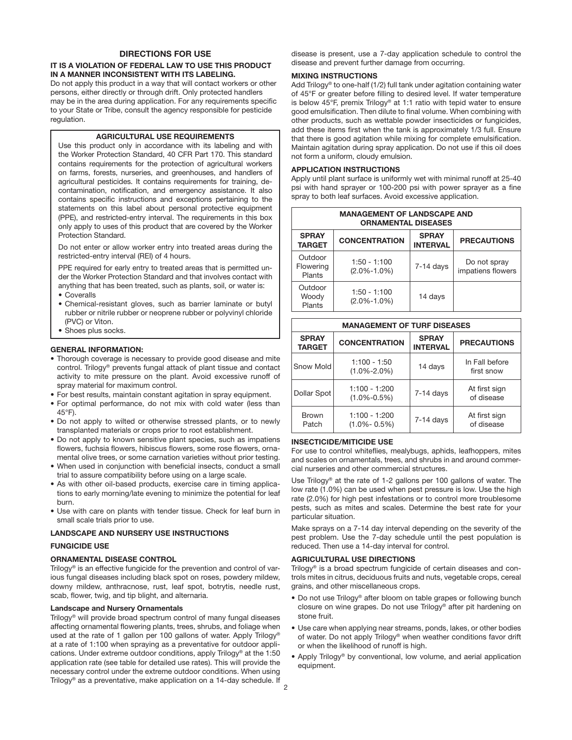#### **DIRECTIONS FOR USE**

#### **IT IS A VIOLATION OF FEDERAL LAW TO USE THIS PRODUCT IN A MANNER INCONSISTENT WITH ITS LABELING.**

Do not apply this product in a way that will contact workers or other persons, either directly or through drift. Only protected handlers may be in the area during application. For any requirements specific to your State or Tribe, consult the agency responsible for pesticide regulation.

#### **AGRICULTURAL USE REQUIREMENTS**

Use this product only in accordance with its labeling and with the Worker Protection Standard, 40 CFR Part 170. This standard contains requirements for the protection of agricultural workers on farms, forests, nurseries, and greenhouses, and handlers of agricultural pesticides. It contains requirements for training, decontamination, notification, and emergency assistance. It also contains specific instructions and exceptions pertaining to the statements on this label about personal protective equipment (PPE), and restricted-entry interval. The requirements in this box only apply to uses of this product that are covered by the Worker Protection Standard.

Do not enter or allow worker entry into treated areas during the restricted-entry interval (REI) of 4 hours.

PPE required for early entry to treated areas that is permitted under the Worker Protection Standard and that involves contact with anything that has been treated, such as plants, soil, or water is: • Coveralls

- Chemical-resistant gloves, such as barrier laminate or butyl rubber or nitrile rubber or neoprene rubber or polyvinyl chloride (PVC) or Viton.
- Shoes plus socks.

#### **GENERAL INFORMATION:**

- Thorough coverage is necessary to provide good disease and mite control. Trilogy® prevents fungal attack of plant tissue and contact activity to mite pressure on the plant. Avoid excessive runoff of spray material for maximum control.
- For best results, maintain constant agitation in spray equipment.
- For optimal performance, do not mix with cold water (less than 45°F).
- Do not apply to wilted or otherwise stressed plants, or to newly transplanted materials or crops prior to root establishment.
- Do not apply to known sensitive plant species, such as impatiens flowers, fuchsia flowers, hibiscus flowers, some rose flowers, ornamental olive trees, or some carnation varieties without prior testing.
- When used in conjunction with beneficial insects, conduct a small trial to assure compatibility before using on a large scale.
- As with other oil-based products, exercise care in timing applications to early morning/late evening to minimize the potential for leaf burn.
- Use with care on plants with tender tissue. Check for leaf burn in small scale trials prior to use.

#### **LANDSCAPE AND NURSERY USE INSTRUCTIONS**

#### **FUNGICIDE USE**

#### **ORNAMENTAL DISEASE CONTROL**

Trilogy® is an effective fungicide for the prevention and control of various fungal diseases including black spot on roses, powdery mildew, downy mildew, anthracnose, rust, leaf spot, botrytis, needle rust, scab, flower, twig, and tip blight, and alternaria.

#### **Landscape and Nursery Ornamentals**

Trilogy® will provide broad spectrum control of many fungal diseases affecting ornamental flowering plants, trees, shrubs, and foliage when used at the rate of 1 gallon per 100 gallons of water. Apply Trilogy® at a rate of 1:100 when spraying as a preventative for outdoor applications. Under extreme outdoor conditions, apply Trilogy® at the 1:50 application rate (see table for detailed use rates). This will provide the necessary control under the extreme outdoor conditions. When using Trilogy® as a preventative, make application on a 14-day schedule. If

disease is present, use a 7-day application schedule to control the disease and prevent further damage from occurring.

#### **MIXING INSTRUCTIONS**

Add Trilogy® to one-half (1/2) full tank under agitation containing water of 45°F or greater before filling to desired level. If water temperature is below 45°F, premix Trilogy® at 1:1 ratio with tepid water to ensure good emulsification. Then dilute to final volume. When combining with other products, such as wettable powder insecticides or fungicides, add these items first when the tank is approximately 1/3 full. Ensure that there is good agitation while mixing for complete emulsification. Maintain agitation during spray application. Do not use if this oil does not form a uniform, cloudy emulsion.

#### **APPLICATION INSTRUCTIONS**

Apply until plant surface is uniformly wet with minimal runoff at 25-40 psi with hand sprayer or 100-200 psi with power sprayer as a fine spray to both leaf surfaces. Avoid excessive application.

| <b>MANAGEMENT OF LANDSCAPE AND</b><br><b>ORNAMENTAL DISEASES</b> |                                                         |             |                                   |
|------------------------------------------------------------------|---------------------------------------------------------|-------------|-----------------------------------|
| <b>SPRAY</b><br><b>TARGET</b>                                    | <b>SPRAY</b><br><b>CONCENTRATION</b><br><b>INTERVAL</b> |             | <b>PRECAUTIONS</b>                |
| Outdoor<br>Flowering<br>Plants                                   | $1:50 - 1:100$<br>$(2.0\% - 1.0\%)$                     | $7-14$ days | Do not spray<br>impatiens flowers |
| Outdoor<br>Woody<br>Plants                                       | $1:50 - 1:100$<br>$(2.0\% - 1.0\%)$                     | 14 days     |                                   |

| <b>MANAGEMENT OF TURF DISEASES</b> |                                      |                                 |                              |
|------------------------------------|--------------------------------------|---------------------------------|------------------------------|
| <b>SPRAY</b><br><b>TARGET</b>      | <b>CONCENTRATION</b>                 | <b>SPRAY</b><br><b>INTERVAL</b> | <b>PRECAUTIONS</b>           |
| Snow Mold                          | $1:100 - 1:50$<br>$(1.0\% - 2.0\%)$  | 14 days                         | In Fall before<br>first snow |
| Dollar Spot                        | $1:100 - 1:200$<br>$(1.0\% - 0.5\%)$ | $7-14$ days                     | At first sign<br>of disease  |
| <b>Brown</b><br>Patch              | $1:100 - 1:200$<br>$(1.0\% - 0.5\%)$ | $7-14$ days                     | At first sign<br>of disease  |

#### **INSECTICIDE/MITICIDE USE**

For use to control whiteflies, mealybugs, aphids, leafhoppers, mites and scales on ornamentals, trees, and shrubs in and around commercial nurseries and other commercial structures.

Use Trilogy® at the rate of 1-2 gallons per 100 gallons of water. The low rate (1.0%) can be used when pest pressure is low. Use the high rate (2.0%) for high pest infestations or to control more troublesome pests, such as mites and scales. Determine the best rate for your particular situation.

Make sprays on a 7-14 day interval depending on the severity of the pest problem. Use the 7-day schedule until the pest population is reduced. Then use a 14-day interval for control.

#### **AGRICULTURAL USE DIRECTIONS**

Trilogy® is a broad spectrum fungicide of certain diseases and controls mites in citrus, deciduous fruits and nuts, vegetable crops, cereal grains, and other miscellaneous crops.

- Do not use Trilogy® after bloom on table grapes or following bunch closure on wine grapes. Do not use Trilogy® after pit hardening on stone fruit.
- Use care when applying near streams, ponds, lakes, or other bodies of water. Do not apply Trilogy® when weather conditions favor drift or when the likelihood of runoff is high.
- Apply Trilogy® by conventional, low volume, and aerial application equipment.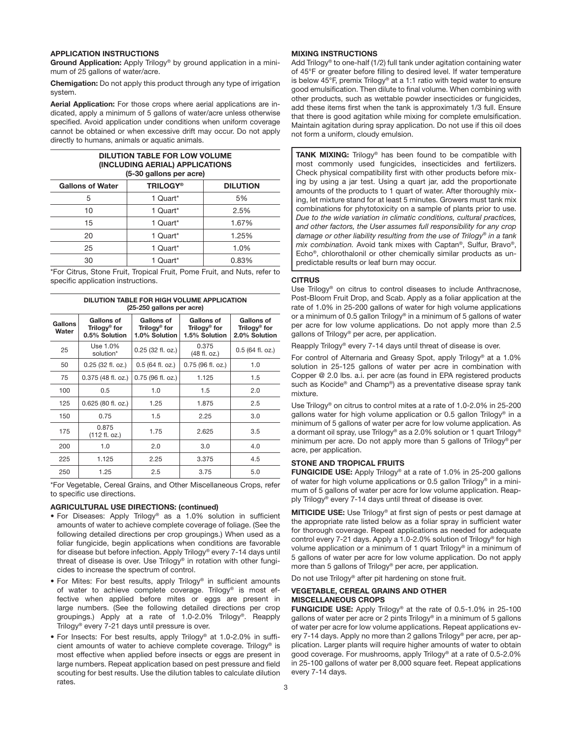#### **APPLICATION INSTRUCTIONS**

**Ground Application:** Apply Trilogy® by ground application in a minimum of 25 gallons of water/acre.

**Chemigation:** Do not apply this product through any type of irrigation system.

**Aerial Application:** For those crops where aerial applications are indicated, apply a minimum of 5 gallons of water/acre unless otherwise specified. Avoid application under conditions when uniform coverage cannot be obtained or when excessive drift may occur. Do not apply directly to humans, animals or aquatic animals.

#### **DILUTION TABLE FOR LOW VOLUME (INCLUDING AERIAL) APPLICATIONS (5-30 gallons per acre)**

| <b>Gallons of Water</b> | <b>TRILOGY®</b> | <b>DILUTION</b> |
|-------------------------|-----------------|-----------------|
| 5                       | 1 Quart*        | 5%              |
| 10                      | 1 Quart*        | 2.5%            |
| 15                      | 1 Quart*        | 1.67%           |
| 20                      | 1 Quart*        | 1.25%           |
| 25                      | 1 Quart*        | 1.0%            |
| 30                      | Quart*          | 0.83%           |

\*For Citrus, Stone Fruit, Tropical Fruit, Pome Fruit, and Nuts, refer to specific application instructions.

**DILUTION TABLE FOR HIGH VOLUME APPLICATION**

| (25-250 gallons per acre) |                                                         |                                                         |                                             |                                                         |
|---------------------------|---------------------------------------------------------|---------------------------------------------------------|---------------------------------------------|---------------------------------------------------------|
| <b>Gallons</b><br>Water   | Gallons of<br>Trilogy <sup>®</sup> for<br>0.5% Solution | Gallons of<br>Trilogy <sup>®</sup> for<br>1.0% Solution | Gallons of<br>Trilogy® for<br>1.5% Solution | Gallons of<br>Trilogy <sup>®</sup> for<br>2.0% Solution |
| 25                        | Use 1.0%<br>solution*                                   | $0.25$ (32 fl. oz.)                                     | 0.375<br>(48 fl. oz.)                       | $0.5$ (64 fl. oz.)                                      |
| 50                        | 0.25 (32 fl. oz.)                                       | $0.5$ (64 fl. oz.)                                      | 0.75 (96 fl. oz.)                           | 1.0                                                     |
| 75                        | $0.375$ (48 fl. oz.)                                    | $0.75$ (96 fl. oz.)                                     | 1.125                                       | 1.5                                                     |
| 100                       | 0.5                                                     | 1.0                                                     | 1.5                                         | 2.0                                                     |
| 125                       | 0.625 (80 fl. oz.)                                      | 1.25                                                    | 1.875                                       | 2.5                                                     |
| 150                       | 0.75                                                    | 1.5                                                     | 2.25                                        | 3.0                                                     |
| 175                       | 0.875<br>(112 fl. oz.)                                  | 1.75                                                    | 2.625                                       | 3.5                                                     |
| 200                       | 1.0                                                     | 2.0                                                     | 3.0                                         | 4.0                                                     |
| 225                       | 1.125                                                   | 2.25                                                    | 3.375                                       | 4.5                                                     |
| 250                       | 1.25                                                    | 2.5                                                     | 3.75                                        | 5.0                                                     |

\*For Vegetable, Cereal Grains, and Other Miscellaneous Crops, refer to specific use directions.

#### **AGRICULTURAL USE DIRECTIONS: (continued)**

- For Diseases: Apply Trilogy® as a 1.0% solution in sufficient amounts of water to achieve complete coverage of foliage. (See the following detailed directions per crop groupings.) When used as a foliar fungicide, begin applications when conditions are favorable for disease but before infection. Apply Trilogy® every 7-14 days until threat of disease is over. Use Trilogy® in rotation with other fungicides to increase the spectrum of control.
- For Mites: For best results, apply Trilogy® in sufficient amounts of water to achieve complete coverage. Trilogy® is most effective when applied before mites or eggs are present in large numbers. (See the following detailed directions per crop groupings.) Apply at a rate of 1.0-2.0% Trilogy®. Reapply Trilogy® every 7-21 days until pressure is over.
- For Insects: For best results, apply Trilogy® at 1.0-2.0% in sufficient amounts of water to achieve complete coverage. Trilogy® is most effective when applied before insects or eggs are present in large numbers. Repeat application based on pest pressure and field scouting for best results. Use the dilution tables to calculate dilution rates.

#### **MIXING INSTRUCTIONS**

Add Trilogy® to one-half (1/2) full tank under agitation containing water of 45°F or greater before filling to desired level. If water temperature is below 45°F, premix Trilogy® at a 1:1 ratio with tepid water to ensure good emulsification. Then dilute to final volume. When combining with other products, such as wettable powder insecticides or fungicides, add these items first when the tank is approximately 1/3 full. Ensure that there is good agitation while mixing for complete emulsification. Maintain agitation during spray application. Do not use if this oil does not form a uniform, cloudy emulsion.

TANK MIXING: Trilogy® has been found to be compatible with most commonly used fungicides, insecticides and fertilizers. Check physical compatibility first with other products before mixing by using a jar test. Using a quart jar, add the proportionate amounts of the products to 1 quart of water. After thoroughly mixing, let mixture stand for at least 5 minutes. Growers must tank mix combinations for phytotoxicity on a sample of plants prior to use. *Due to the wide variation in climatic conditions, cultural practices, and other factors, the User assumes full responsibility for any crop damage or other liability resulting from the use of Trilogy® in a tank mix combination.* Avoid tank mixes with Captan®, Sulfur, Bravo®, Echo®, chlorothalonil or other chemically similar products as unpredictable results or leaf burn may occur.

#### **CITRUS**

Use Trilogy® on citrus to control diseases to include Anthracnose, Post-Bloom Fruit Drop, and Scab. Apply as a foliar application at the rate of 1.0% in 25-200 gallons of water for high volume applications or a minimum of 0.5 gallon Trilogy® in a minimum of 5 gallons of water per acre for low volume applications. Do not apply more than 2.5 gallons of Trilogy® per acre, per application.

Reapply Trilogy® every 7-14 days until threat of disease is over.

For control of Alternaria and Greasy Spot, apply Trilogy® at a 1.0% solution in 25-125 gallons of water per acre in combination with Copper @ 2.0 lbs. a.i. per acre (as found in EPA registered products such as Kocide® and Champ®) as a preventative disease spray tank mixture.

Use Trilogy® on citrus to control mites at a rate of 1.0-2.0% in 25-200 gallons water for high volume application or 0.5 gallon Trilogy® in a minimum of 5 gallons of water per acre for low volume application. As a dormant oil spray, use Trilogy® as a 2.0% solution or 1 quart Trilogy® minimum per acre. Do not apply more than 5 gallons of Trilogy® per acre, per application.

#### **STONE AND TROPICAL FRUITS**

**FUNGICIDE USE:** Apply Trilogy® at a rate of 1.0% in 25-200 gallons of water for high volume applications or 0.5 gallon Trilogy® in a minimum of 5 gallons of water per acre for low volume application. Reapply Trilogy® every 7-14 days until threat of disease is over.

**MITICIDE USE:** Use Trilogy® at first sign of pests or pest damage at the appropriate rate listed below as a foliar spray in sufficient water for thorough coverage. Repeat applications as needed for adequate control every 7-21 days. Apply a 1.0-2.0% solution of Trilogy® for high volume application or a minimum of 1 quart Trilogy® in a minimum of 5 gallons of water per acre for low volume application. Do not apply more than 5 gallons of Trilogy® per acre, per application.

Do not use Trilogy® after pit hardening on stone fruit.

#### **VEGETABLE, CEREAL GRAINS AND OTHER MISCELLANEOUS CROPS**

**FUNGICIDE USE:** Apply Trilogy<sup>®</sup> at the rate of 0.5-1.0% in 25-100 gallons of water per acre or 2 pints Trilogy® in a minimum of 5 gallons of water per acre for low volume applications. Repeat applications every 7-14 days. Apply no more than 2 gallons Trilogy® per acre, per application. Larger plants will require higher amounts of water to obtain good coverage. For mushrooms, apply Trilogy® at a rate of 0.5-2.0% in 25-100 gallons of water per 8,000 square feet. Repeat applications every 7-14 days.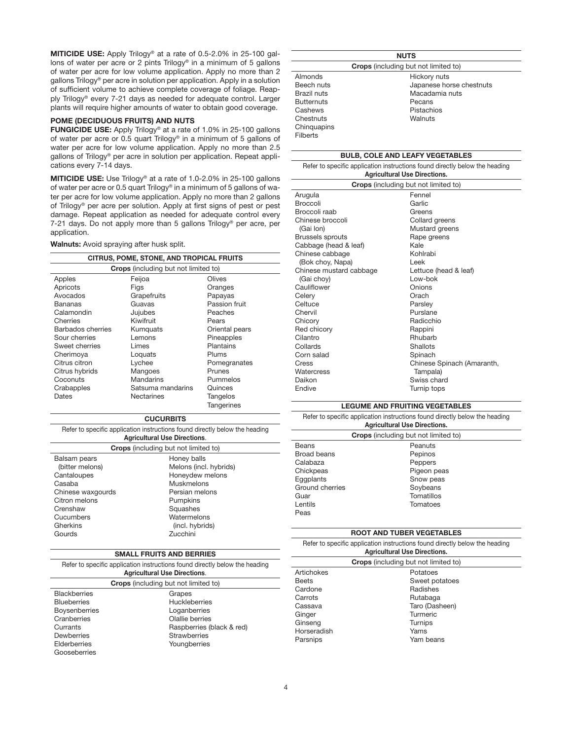**MITICIDE USE:** Apply Trilogy® at a rate of 0.5-2.0% in 25-100 gallons of water per acre or 2 pints Trilogy® in a minimum of 5 gallons of water per acre for low volume application. Apply no more than 2 gallons Trilogy® per acre in solution per application. Apply in a solution of sufficient volume to achieve complete coverage of foliage. Reapply Trilogy® every 7-21 days as needed for adequate control. Larger plants will require higher amounts of water to obtain good coverage.

#### **POME (DECIDUOUS FRUITS) AND NUTS**

**FUNGICIDE USE:** Apply Trilogy® at a rate of 1.0% in 25-100 gallons of water per acre or 0.5 quart Trilogy® in a minimum of 5 gallons of water per acre for low volume application. Apply no more than 2.5 gallons of Trilogy® per acre in solution per application. Repeat applications every 7-14 days.

**MITICIDE USE:** Use Trilogy® at a rate of 1.0-2.0% in 25-100 gallons of water per acre or 0.5 quart Trilogy® in a minimum of 5 gallons of water per acre for low volume application. Apply no more than 2 gallons of Trilogy® per acre per solution. Apply at first signs of pest or pest damage. Repeat application as needed for adequate control every 7-21 days. Do not apply more than 5 gallons Trilogy® per acre, per application.

**Walnuts:** Avoid spraying after husk split.

| CITRUS, POME, STONE, AND TROPICAL FRUITS |                                             |                   |
|------------------------------------------|---------------------------------------------|-------------------|
|                                          | <b>Crops</b> (including but not limited to) |                   |
| Apples                                   | Feijoa                                      | Olives            |
| Apricots                                 | Figs                                        | Oranges           |
| Avocados                                 | Grapefruits                                 | Papayas           |
| Bananas                                  | Guavas                                      | Passion fruit     |
| Calamondin                               | Jujubes                                     | Peaches           |
| Cherries                                 | Kiwifruit                                   | Pears             |
| Barbados cherries                        | Kumquats                                    | Oriental pears    |
| Sour cherries                            | Lemons                                      | Pineapples        |
| Sweet cherries                           | Limes                                       | Plantains         |
| Cherimoya                                | Loquats                                     | Plums             |
| Citrus citron                            | Lychee                                      | Pomegranates      |
| Citrus hybrids                           | Mangoes                                     | Prunes            |
| Coconuts                                 | Mandarins                                   | Pummelos          |
| Crabapples                               | Satsuma mandarins                           | Quinces           |
| Dates                                    | Nectarines                                  | Tangelos          |
|                                          |                                             | <b>Tangerines</b> |

#### **CUCURBITS**

| Refer to specific application instructions found directly below the heading |                        |  |
|-----------------------------------------------------------------------------|------------------------|--|
| <b>Agricultural Use Directions.</b>                                         |                        |  |
| <b>Crops</b> (including but not limited to)                                 |                        |  |
| Balsam pears                                                                | Honey balls            |  |
| (bitter melons)                                                             | Melons (incl. hybrids) |  |
| Cantaloupes                                                                 | Honeydew melons        |  |
| Casaba                                                                      | <b>Muskmelons</b>      |  |

| Chinese waxgourds | Persian melons  |
|-------------------|-----------------|
| Citron melons     | Pumpkins        |
| Crenshaw          | Squashes        |
| Cucumbers         | Watermelons     |
| Gherkins          | (incl. hybrids) |
| Gourds            | Zucchini        |

#### **SMALL FRUITS AND BERRIES**

Refer to specific application instructions found directly below the heading **Agricultural Use Directions**.

| <b>Crops</b> (including but not limited to) |                           |  |
|---------------------------------------------|---------------------------|--|
| <b>Blackberries</b>                         | Grapes                    |  |
| <b>Blueberries</b>                          | <b>Huckleberries</b>      |  |
| <b>Boysenberries</b>                        | Loganberries              |  |
| Cranberries                                 | Olallie berries           |  |
| Currants                                    | Raspberries (black & red) |  |
| Dewberries                                  | <b>Strawberries</b>       |  |
| Elderberries                                | Youngberries              |  |
| Gooseberries                                |                           |  |
|                                             |                           |  |

| <b>NUTS</b>                                 |                          |  |
|---------------------------------------------|--------------------------|--|
| <b>Crops</b> (including but not limited to) |                          |  |
| Almonds                                     | Hickory nuts             |  |
| Beech nuts                                  | Japanese horse chestnuts |  |
| Brazil nuts                                 | Macadamia nuts           |  |
| <b>Butternuts</b>                           | Pecans                   |  |
| Cashews                                     | Pistachios               |  |
| Chestnuts                                   | Walnuts                  |  |
| Chinguapins                                 |                          |  |
| <b>Filberts</b>                             |                          |  |

#### **BULB, COLE AND LEAFY VEGETABLES**

Refer to specific application instructions found directly below the heading **Agricultural Use Directions.**

| <b>Crops</b> (including but not limited to) |                            |  |
|---------------------------------------------|----------------------------|--|
| Arugula                                     | Fennel                     |  |
| <b>Broccoli</b>                             | Garlic                     |  |
| Broccoli raab                               | Greens                     |  |
| Chinese broccoli                            | Collard greens             |  |
| (Gai lon)                                   | Mustard greens             |  |
| <b>Brussels sprouts</b>                     | Rape greens                |  |
| Cabbage (head & leaf)                       | Kale                       |  |
| Chinese cabbage                             | Kohlrabi                   |  |
| (Bok choy, Napa)                            | Leek                       |  |
| Chinese mustard cabbage                     | Lettuce (head & leaf)      |  |
| (Gai choy)                                  | I ow-bok                   |  |
| Cauliflower                                 | Onions                     |  |
| Celerv                                      | Orach                      |  |
| Celtuce                                     | Parsley                    |  |
| Chervil                                     | Purslane                   |  |
| Chicory                                     | Radicchio                  |  |
| Red chicory                                 | Rappini                    |  |
| Cilantro                                    | Rhubarb                    |  |
| Collards                                    | Shallots                   |  |
| Corn salad                                  | Spinach                    |  |
| Cress                                       | Chinese Spinach (Amaranth, |  |
| Watercress                                  | Tampala)                   |  |
| Daikon                                      | Swiss chard                |  |
| Endive                                      | Turnip tops                |  |

#### **LEGUME AND FRUITING VEGETABLES**

#### Refer to specific application instructions found directly below the heading

| <b>Agricultural Use Directions.</b>         |             |  |
|---------------------------------------------|-------------|--|
| <b>Crops</b> (including but not limited to) |             |  |
| <b>Beans</b>                                | Peanuts     |  |
| Broad beans                                 | Pepinos     |  |
| Calabaza                                    | Peppers     |  |
| Chickpeas                                   | Pigeon peas |  |
| Eqqplants                                   | Snow peas   |  |
| Ground cherries                             | Soybeans    |  |
| Guar                                        | Tomatillos  |  |
| Lentils                                     | Tomatoes    |  |
| Peas                                        |             |  |
|                                             |             |  |

#### **ROOT AND TUBER VEGETABLES**

| Refer to specific application instructions found directly below the heading |  |  |
|-----------------------------------------------------------------------------|--|--|
| <b>Agricultural Use Directions.</b>                                         |  |  |

| <b>Crops</b> (including but not limited to) |                |  |
|---------------------------------------------|----------------|--|
| Artichokes                                  | Potatoes       |  |
| <b>Beets</b>                                | Sweet potatoes |  |
| Cardone                                     | Radishes       |  |
| Carrots                                     | Rutabaga       |  |
| Cassava                                     | Taro (Dasheen) |  |
| Ginger                                      | Turmeric       |  |
| Ginseng                                     | Turnips        |  |
| Horseradish                                 | Yams           |  |
| Parsnips                                    | Yam beans      |  |